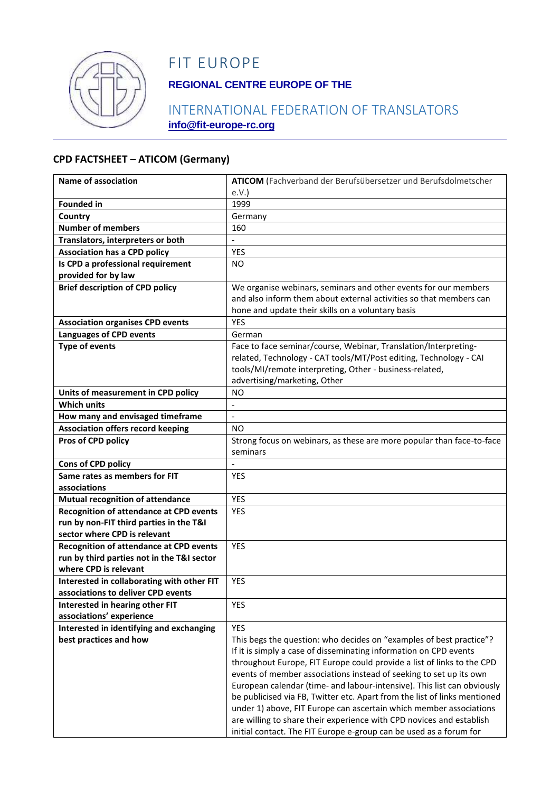

# FIT EUROPE

## **REGIONAL CENTRE EUROPE OF THE**

## INTERNATIONAL FEDERATION OF TRANSLATORS **info@fit-europe-rc.org**

#### **CPD FACTSHEET – ATICOM (Germany)**

| Name of association                                                              | ATICOM (Fachverband der Berufsübersetzer und Berufsdolmetscher            |
|----------------------------------------------------------------------------------|---------------------------------------------------------------------------|
|                                                                                  | e.V.                                                                      |
| <b>Founded in</b>                                                                | 1999                                                                      |
| Country                                                                          | Germany                                                                   |
| <b>Number of members</b>                                                         | 160                                                                       |
| Translators, interpreters or both                                                |                                                                           |
| <b>Association has a CPD policy</b>                                              | <b>YES</b>                                                                |
| Is CPD a professional requirement                                                | NO.                                                                       |
| provided for by law                                                              |                                                                           |
| <b>Brief description of CPD policy</b>                                           | We organise webinars, seminars and other events for our members           |
|                                                                                  | and also inform them about external activities so that members can        |
|                                                                                  | hone and update their skills on a voluntary basis                         |
| <b>Association organises CPD events</b>                                          | <b>YES</b>                                                                |
| <b>Languages of CPD events</b>                                                   | German                                                                    |
| <b>Type of events</b>                                                            | Face to face seminar/course, Webinar, Translation/Interpreting-           |
|                                                                                  | related, Technology - CAT tools/MT/Post editing, Technology - CAI         |
|                                                                                  | tools/MI/remote interpreting, Other - business-related,                   |
|                                                                                  | advertising/marketing, Other                                              |
| Units of measurement in CPD policy                                               | <b>NO</b>                                                                 |
| <b>Which units</b>                                                               |                                                                           |
| How many and envisaged timeframe                                                 | $\overline{a}$                                                            |
| <b>Association offers record keeping</b>                                         | ΝO                                                                        |
| Pros of CPD policy                                                               | Strong focus on webinars, as these are more popular than face-to-face     |
|                                                                                  | seminars                                                                  |
| Cons of CPD policy                                                               |                                                                           |
| Same rates as members for FIT                                                    | <b>YES</b>                                                                |
| associations                                                                     |                                                                           |
| <b>Mutual recognition of attendance</b>                                          | <b>YES</b>                                                                |
| Recognition of attendance at CPD events                                          | <b>YES</b>                                                                |
| run by non-FIT third parties in the T&I                                          |                                                                           |
| sector where CPD is relevant                                                     |                                                                           |
| <b>Recognition of attendance at CPD events</b>                                   | <b>YES</b>                                                                |
| run by third parties not in the T&I sector                                       |                                                                           |
| where CPD is relevant                                                            |                                                                           |
| Interested in collaborating with other FIT<br>associations to deliver CPD events | <b>YES</b>                                                                |
|                                                                                  | <b>YES</b>                                                                |
| Interested in hearing other FIT<br>associations' experience                      |                                                                           |
| Interested in identifying and exchanging                                         | <b>YES</b>                                                                |
| best practices and how                                                           | This begs the question: who decides on "examples of best practice"?       |
|                                                                                  | If it is simply a case of disseminating information on CPD events         |
|                                                                                  | throughout Europe, FIT Europe could provide a list of links to the CPD    |
|                                                                                  | events of member associations instead of seeking to set up its own        |
|                                                                                  | European calendar (time- and labour-intensive). This list can obviously   |
|                                                                                  | be publicised via FB, Twitter etc. Apart from the list of links mentioned |
|                                                                                  | under 1) above, FIT Europe can ascertain which member associations        |
|                                                                                  | are willing to share their experience with CPD novices and establish      |
|                                                                                  | initial contact. The FIT Europe e-group can be used as a forum for        |